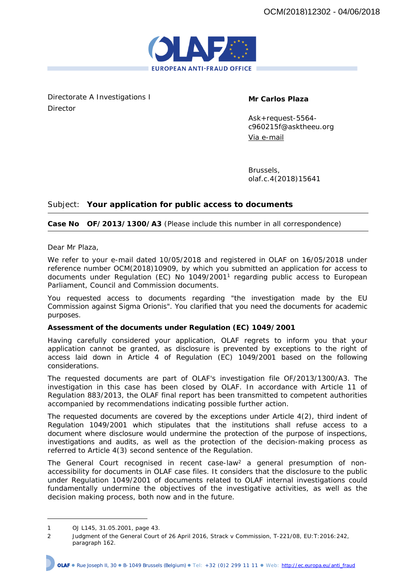

Directorate A Investigations I Director

**Mr Carlos Plaza**

Ask+request-5564 c960215f@asktheeu.org Via e-mail

Brussels, olaf.c.4(2018)15641

## Subject: **Your application for public access to documents**

## **Case No OF/2013/1300/A3** (Please include this number in all correspondence)

Dear Mr Plaza,

We refer to your e-mail dated 10/05/2018 and registered in OLAF on 16/05/2018 under reference number OCM(2018)10909, by which you submitted an application for access to documents under Regulation (EC) No 1049/2001<sup>1</sup> regarding public access to European Parliament, Council and Commission documents.

You requested access to documents regarding "the investigation made by the EU Commission against Sigma Orionis". You clarified that you need the documents for academic purposes.

**Assessment of the documents under Regulation (EC) 1049/2001** 

Having carefully considered your application, OLAF regrets to inform you that your application cannot be granted, as disclosure is prevented by exceptions to the right of access laid down in Article 4 of Regulation (EC) 1049/2001 based on the following considerations.

The requested documents are part of OLAF's investigation file OF/2013/1300/A3. The investigation in this case has been closed by OLAF. In accordance with Article 11 of Regulation 883/2013, the OLAF final report has been transmitted to competent authorities accompanied by recommendations indicating possible further action.

The requested documents are covered by the exceptions under Article 4(2), third indent of Regulation 1049/2001 which stipulates that the institutions shall refuse access to a document where disclosure would undermine the protection of the purpose of inspections, investigations and audits, as well as the protection of the decision-making process as referred to Article 4(3) second sentence of the Regulation.

The General Court recognised in recent case-law<sup>2</sup> a general presumption of nonaccessibility for documents in OLAF case files. It considers that the disclosure to the public under Regulation 1049/2001 of documents related to OLAF internal investigations could fundamentally undermine the objectives of the investigative activities, as well as the decision making process, both now and in the future.

<sup>1</sup> OJ L145, 31.05.2001, page 43.

<sup>2</sup> Judgment of the General Court of 26 April 2016, *Strack* v *Commission*, T-221/08, EU:T:2016:242, paragraph 162.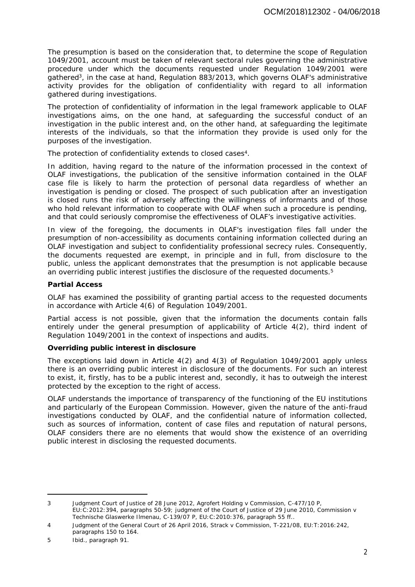The presumption is based on the consideration that, to determine the scope of Regulation 1049/2001, account must be taken of relevant sectoral rules governing the administrative procedure under which the documents requested under Regulation 1049/2001 were gathered<sup>3</sup>, in the case at hand, Regulation 883/2013, which governs OLAF's administrative activity provides for the obligation of confidentiality with regard to all information gathered during investigations.

The protection of confidentiality of information in the legal framework applicable to OLAF investigations aims, on the one hand, at safeguarding the successful conduct of an investigation in the public interest and, on the other hand, at safeguarding the legitimate interests of the individuals, so that the information they provide is used only for the purposes of the investigation.

The protection of confidentiality extends to closed cases<sup>4</sup>.

In addition, having regard to the nature of the information processed in the context of OLAF investigations, the publication of the sensitive information contained in the OLAF case file is likely to harm the protection of personal data regardless of whether an investigation is pending or closed. The prospect of such publication after an investigation is closed runs the risk of adversely affecting the willingness of informants and of those who hold relevant information to cooperate with OLAF when such a procedure is pending, and that could seriously compromise the effectiveness of OLAF's investigative activities.

In view of the foregoing, the documents in OLAF's investigation files fall under the presumption of non-accessibility as documents containing information collected during an OLAF investigation and subject to confidentiality professional secrecy rules. Consequently, the documents requested are exempt, in principle and in full, from disclosure to the public, unless the applicant demonstrates that the presumption is not applicable because an overriding public interest justifies the disclosure of the requested documents.<sup>5</sup>

**Partial Access**

OLAF has examined the possibility of granting partial access to the requested documents in accordance with Article 4(6) of Regulation 1049/2001.

Partial access is not possible, given that the information the documents contain falls entirely under the general presumption of applicability of Article 4(2), third indent of Regulation 1049/2001 in the context of inspections and audits.

**Overriding public interest in disclosure**

The exceptions laid down in Article 4(2) and 4(3) of Regulation 1049/2001 apply unless there is an overriding public interest in disclosure of the documents. For such an interest to exist, it, firstly, has to be a public interest and, secondly, it has to outweigh the interest protected by the exception to the right of access.

OLAF understands the importance of transparency of the functioning of the EU institutions and particularly of the European Commission. However, given the nature of the anti-fraud investigations conducted by OLAF, and the confidential nature of information collected, such as sources of information, content of case files and reputation of natural persons, OLAF considers there are no elements that would show the existence of an overriding public interest in disclosing the requested documents.

<sup>3</sup> Judgment Court of Justice of 28 June 2012, *Agrofert Holding* v *Commission,* C-477/10 P, EU:C:2012:394, paragraphs 50-59; judgment of the Court of Justice of 29 June 2010, *Commission* v *Technische Glaswerke Ilmenau*, C-139/07 P, EU:C:2010:376, paragraph 55 ff..

<sup>4</sup> Judgment of the General Court of 26 April 2016, *Strack* v *Commission,* T-221/08, EU:T:2016:242, paragraphs 150 to 164.

<sup>5</sup> Ibid., paragraph 91.